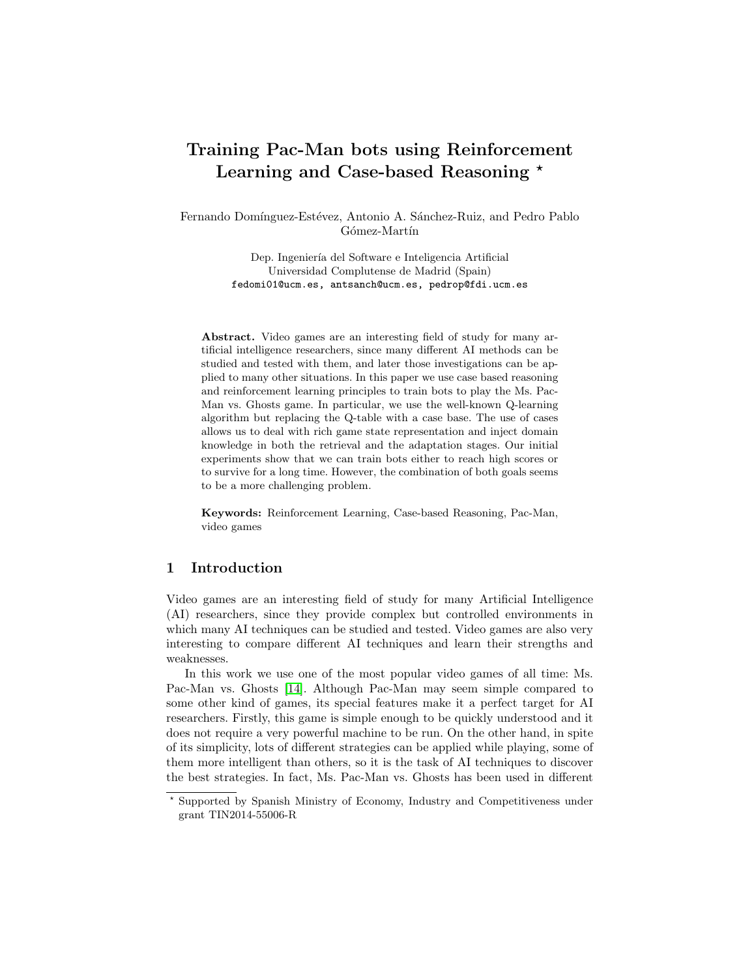# Training Pac-Man bots using Reinforcement Learning and Case-based Reasoning \*

Fernando Domínguez-Estévez, Antonio A. Sánchez-Ruiz, and Pedro Pablo Gómez-Martín

> Dep. Ingeniería del Software e Inteligencia Artificial Universidad Complutense de Madrid (Spain) fedomi01@ucm.es, antsanch@ucm.es, pedrop@fdi.ucm.es

Abstract. Video games are an interesting field of study for many artificial intelligence researchers, since many different AI methods can be studied and tested with them, and later those investigations can be applied to many other situations. In this paper we use case based reasoning and reinforcement learning principles to train bots to play the Ms. Pac-Man vs. Ghosts game. In particular, we use the well-known Q-learning algorithm but replacing the Q-table with a case base. The use of cases allows us to deal with rich game state representation and inject domain knowledge in both the retrieval and the adaptation stages. Our initial experiments show that we can train bots either to reach high scores or to survive for a long time. However, the combination of both goals seems to be a more challenging problem.

Keywords: Reinforcement Learning, Case-based Reasoning, Pac-Man, video games

# 1 Introduction

Video games are an interesting field of study for many Artificial Intelligence (AI) researchers, since they provide complex but controlled environments in which many AI techniques can be studied and tested. Video games are also very interesting to compare different AI techniques and learn their strengths and weaknesses.

In this work we use one of the most popular video games of all time: Ms. Pac-Man vs. Ghosts [\[14\]](#page-11-0). Although Pac-Man may seem simple compared to some other kind of games, its special features make it a perfect target for AI researchers. Firstly, this game is simple enough to be quickly understood and it does not require a very powerful machine to be run. On the other hand, in spite of its simplicity, lots of different strategies can be applied while playing, some of them more intelligent than others, so it is the task of AI techniques to discover the best strategies. In fact, Ms. Pac-Man vs. Ghosts has been used in different

<sup>?</sup> Supported by Spanish Ministry of Economy, Industry and Competitiveness under grant TIN2014-55006-R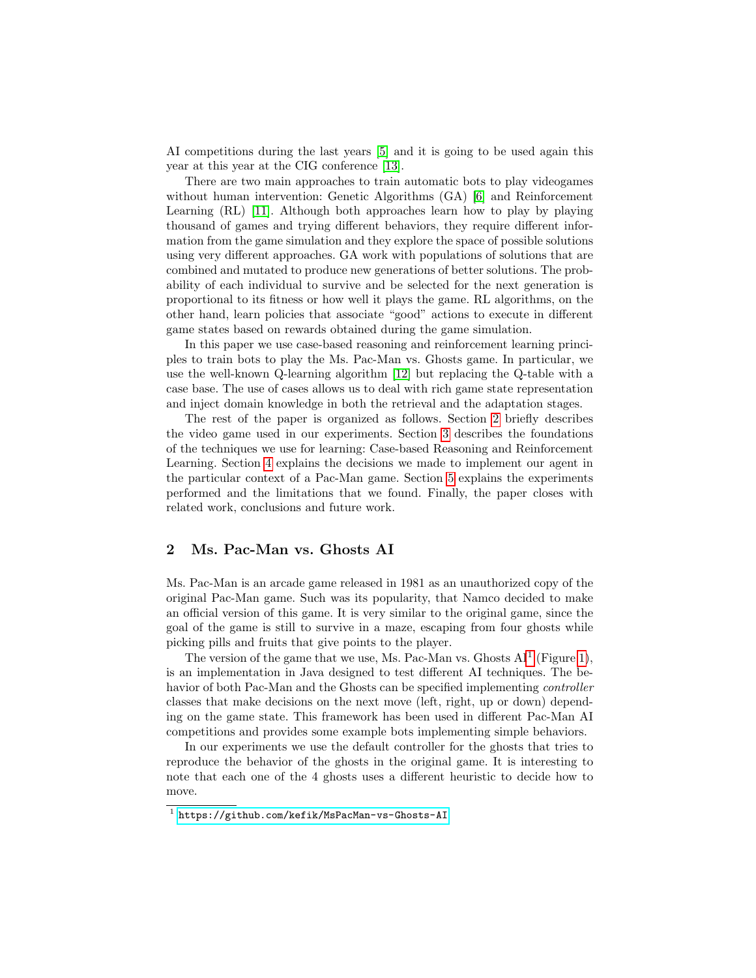AI competitions during the last years [\[5\]](#page-11-1) and it is going to be used again this year at this year at the CIG conference [\[13\]](#page-11-2).

There are two main approaches to train automatic bots to play videogames without human intervention: Genetic Algorithms (GA) [\[6\]](#page-11-3) and Reinforcement Learning (RL) [\[11\]](#page-11-4). Although both approaches learn how to play by playing thousand of games and trying different behaviors, they require different information from the game simulation and they explore the space of possible solutions using very different approaches. GA work with populations of solutions that are combined and mutated to produce new generations of better solutions. The probability of each individual to survive and be selected for the next generation is proportional to its fitness or how well it plays the game. RL algorithms, on the other hand, learn policies that associate "good" actions to execute in different game states based on rewards obtained during the game simulation.

In this paper we use case-based reasoning and reinforcement learning principles to train bots to play the Ms. Pac-Man vs. Ghosts game. In particular, we use the well-known Q-learning algorithm [\[12\]](#page-11-5) but replacing the Q-table with a case base. The use of cases allows us to deal with rich game state representation and inject domain knowledge in both the retrieval and the adaptation stages.

The rest of the paper is organized as follows. Section [2](#page-1-0) briefly describes the video game used in our experiments. Section [3](#page-2-0) describes the foundations of the techniques we use for learning: Case-based Reasoning and Reinforcement Learning. Section [4](#page-6-0) explains the decisions we made to implement our agent in the particular context of a Pac-Man game. Section [5](#page-8-0) explains the experiments performed and the limitations that we found. Finally, the paper closes with related work, conclusions and future work.

# <span id="page-1-0"></span>2 Ms. Pac-Man vs. Ghosts AI

Ms. Pac-Man is an arcade game released in 1981 as an unauthorized copy of the original Pac-Man game. Such was its popularity, that Namco decided to make an official version of this game. It is very similar to the original game, since the goal of the game is still to survive in a maze, escaping from four ghosts while picking pills and fruits that give points to the player.

The version of the game that we use, Ms. Pac-Man vs. Ghosts  $AI<sup>1</sup>$  $AI<sup>1</sup>$  $AI<sup>1</sup>$  (Figure [1\)](#page-2-1), is an implementation in Java designed to test different AI techniques. The behavior of both Pac-Man and the Ghosts can be specified implementing controller classes that make decisions on the next move (left, right, up or down) depending on the game state. This framework has been used in different Pac-Man AI competitions and provides some example bots implementing simple behaviors.

In our experiments we use the default controller for the ghosts that tries to reproduce the behavior of the ghosts in the original game. It is interesting to note that each one of the 4 ghosts uses a different heuristic to decide how to move.

<span id="page-1-1"></span><sup>1</sup> <https://github.com/kefik/MsPacMan-vs-Ghosts-AI>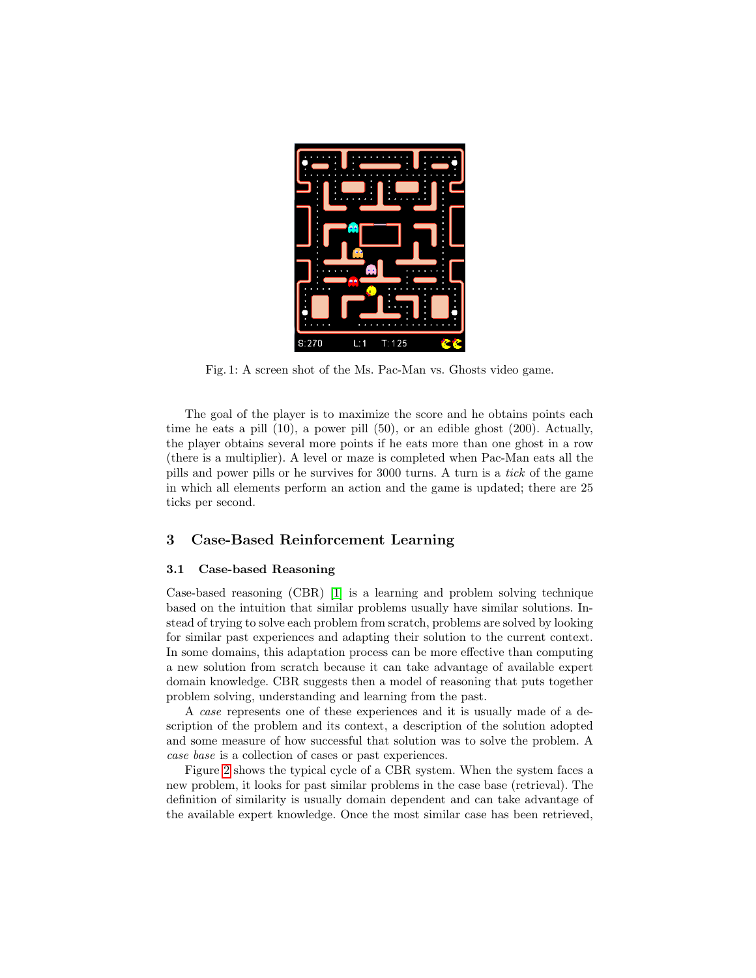<span id="page-2-1"></span>

Fig. 1: A screen shot of the Ms. Pac-Man vs. Ghosts video game.

The goal of the player is to maximize the score and he obtains points each time he eats a pill (10), a power pill (50), or an edible ghost (200). Actually, the player obtains several more points if he eats more than one ghost in a row (there is a multiplier). A level or maze is completed when Pac-Man eats all the pills and power pills or he survives for 3000 turns. A turn is a tick of the game in which all elements perform an action and the game is updated; there are 25 ticks per second.

### <span id="page-2-0"></span>3 Case-Based Reinforcement Learning

#### 3.1 Case-based Reasoning

Case-based reasoning (CBR) [\[1\]](#page-11-6) is a learning and problem solving technique based on the intuition that similar problems usually have similar solutions. Instead of trying to solve each problem from scratch, problems are solved by looking for similar past experiences and adapting their solution to the current context. In some domains, this adaptation process can be more effective than computing a new solution from scratch because it can take advantage of available expert domain knowledge. CBR suggests then a model of reasoning that puts together problem solving, understanding and learning from the past.

A case represents one of these experiences and it is usually made of a description of the problem and its context, a description of the solution adopted and some measure of how successful that solution was to solve the problem. A case base is a collection of cases or past experiences.

Figure [2](#page-3-0) shows the typical cycle of a CBR system. When the system faces a new problem, it looks for past similar problems in the case base (retrieval). The definition of similarity is usually domain dependent and can take advantage of the available expert knowledge. Once the most similar case has been retrieved,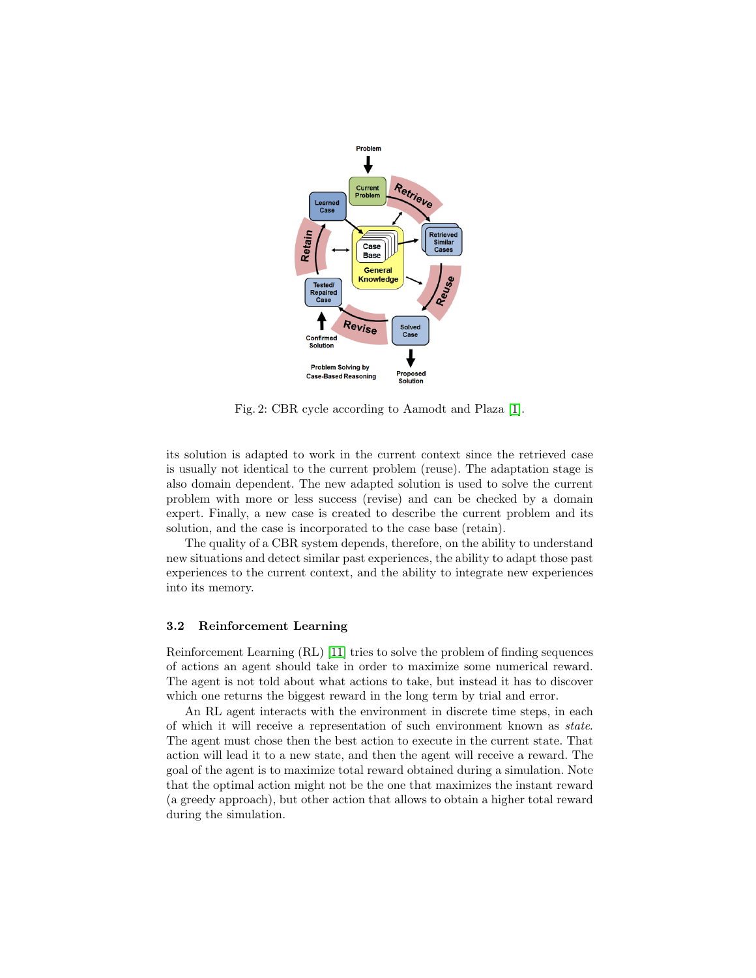<span id="page-3-0"></span>

Fig. 2: CBR cycle according to Aamodt and Plaza [\[1\]](#page-11-6).

its solution is adapted to work in the current context since the retrieved case is usually not identical to the current problem (reuse). The adaptation stage is also domain dependent. The new adapted solution is used to solve the current problem with more or less success (revise) and can be checked by a domain expert. Finally, a new case is created to describe the current problem and its solution, and the case is incorporated to the case base (retain).

The quality of a CBR system depends, therefore, on the ability to understand new situations and detect similar past experiences, the ability to adapt those past experiences to the current context, and the ability to integrate new experiences into its memory.

#### 3.2 Reinforcement Learning

Reinforcement Learning (RL) [\[11\]](#page-11-4) tries to solve the problem of finding sequences of actions an agent should take in order to maximize some numerical reward. The agent is not told about what actions to take, but instead it has to discover which one returns the biggest reward in the long term by trial and error.

An RL agent interacts with the environment in discrete time steps, in each of which it will receive a representation of such environment known as state. The agent must chose then the best action to execute in the current state. That action will lead it to a new state, and then the agent will receive a reward. The goal of the agent is to maximize total reward obtained during a simulation. Note that the optimal action might not be the one that maximizes the instant reward (a greedy approach), but other action that allows to obtain a higher total reward during the simulation.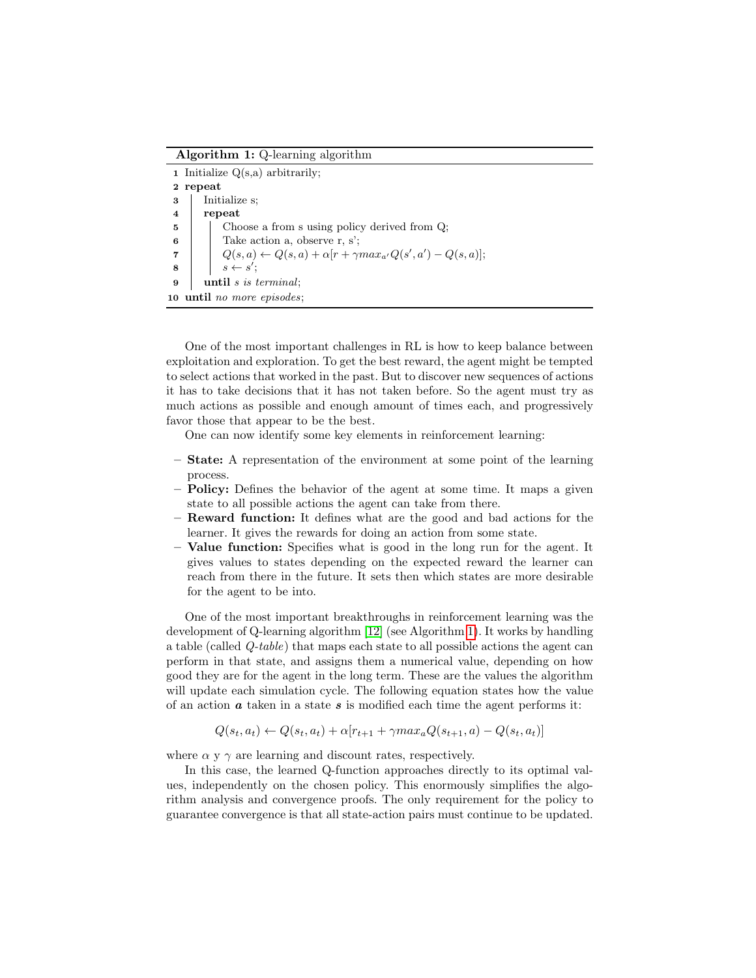Algorithm 1: Q-learning algorithm

|                         | <b>1</b> Initialize $Q(s, a)$ arbitrarily;                                                           |  |  |  |  |  |  |
|-------------------------|------------------------------------------------------------------------------------------------------|--|--|--|--|--|--|
|                         | 2 repeat                                                                                             |  |  |  |  |  |  |
| $\bf{3}$                | Initialize s;                                                                                        |  |  |  |  |  |  |
| $\overline{\mathbf{4}}$ | repeat                                                                                               |  |  |  |  |  |  |
| $\overline{5}$          | Choose a from s using policy derived from Q;                                                         |  |  |  |  |  |  |
| 6                       | Take action a, observe r, s';                                                                        |  |  |  |  |  |  |
|                         | $Q(s, a) \leftarrow Q(s, a) + \alpha[r + \gamma max_{a'}Q(s', a') - Q(s, a)];$<br>$s \leftarrow s';$ |  |  |  |  |  |  |
| $\overline{\mathbf{8}}$ |                                                                                                      |  |  |  |  |  |  |
| 9                       | until s is terminal;                                                                                 |  |  |  |  |  |  |
|                         | 10 until no more episodes;                                                                           |  |  |  |  |  |  |

<span id="page-4-0"></span>One of the most important challenges in RL is how to keep balance between exploitation and exploration. To get the best reward, the agent might be tempted to select actions that worked in the past. But to discover new sequences of actions it has to take decisions that it has not taken before. So the agent must try as much actions as possible and enough amount of times each, and progressively favor those that appear to be the best.

One can now identify some key elements in reinforcement learning:

- State: A representation of the environment at some point of the learning process.
- Policy: Defines the behavior of the agent at some time. It maps a given state to all possible actions the agent can take from there.
- Reward function: It defines what are the good and bad actions for the learner. It gives the rewards for doing an action from some state.
- Value function: Specifies what is good in the long run for the agent. It gives values to states depending on the expected reward the learner can reach from there in the future. It sets then which states are more desirable for the agent to be into.

One of the most important breakthroughs in reinforcement learning was the development of Q-learning algorithm [\[12\]](#page-11-5) (see Algorithm [1\)](#page-4-0). It works by handling a table (called Q-table) that maps each state to all possible actions the agent can perform in that state, and assigns them a numerical value, depending on how good they are for the agent in the long term. These are the values the algorithm will update each simulation cycle. The following equation states how the value of an action  $\boldsymbol{a}$  taken in a state  $\boldsymbol{s}$  is modified each time the agent performs it:

$$
Q(s_t, a_t) \leftarrow Q(s_t, a_t) + \alpha[r_{t+1} + \gamma max_a Q(s_{t+1}, a) - Q(s_t, a_t)]
$$

where  $\alpha$  y  $\gamma$  are learning and discount rates, respectively.

In this case, the learned Q-function approaches directly to its optimal values, independently on the chosen policy. This enormously simplifies the algorithm analysis and convergence proofs. The only requirement for the policy to guarantee convergence is that all state-action pairs must continue to be updated.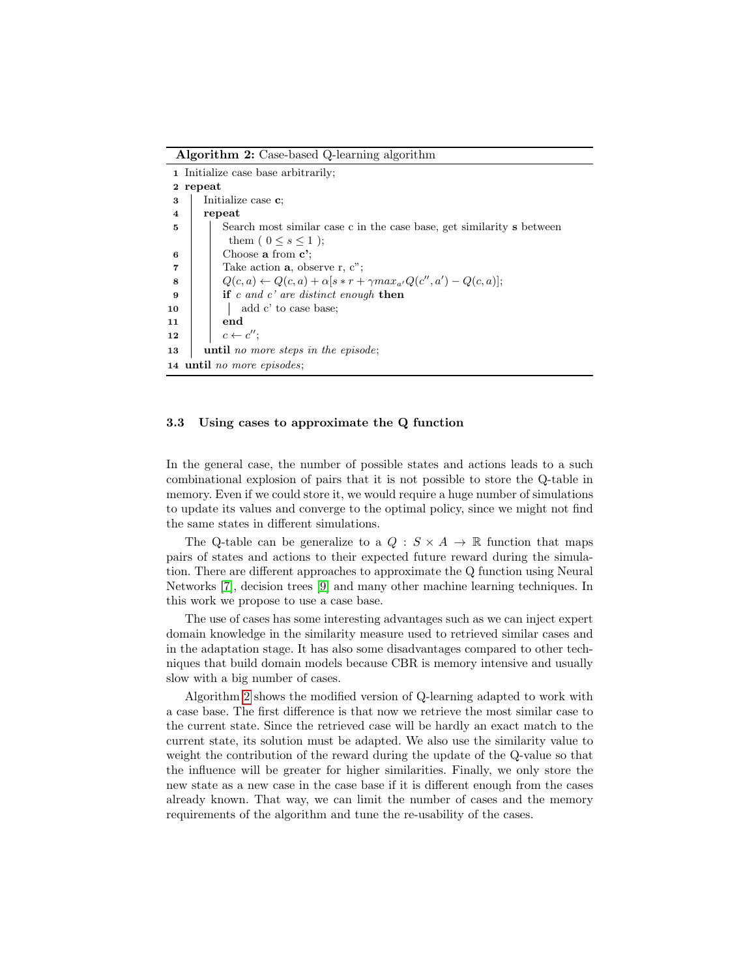Algorithm 2: Case-based Q-learning algorithm

|                            | 1 Initialize case base arbitrarily;                                                  |  |  |  |  |  |  |
|----------------------------|--------------------------------------------------------------------------------------|--|--|--|--|--|--|
|                            | 2 repeat                                                                             |  |  |  |  |  |  |
| 3                          | Initialize case <b>c</b> :                                                           |  |  |  |  |  |  |
| $\overline{\bf 4}$         | repeat                                                                               |  |  |  |  |  |  |
| 5                          | Search most similar case c in the case base, get similarity s between                |  |  |  |  |  |  |
|                            | them ( $0 \leq s \leq 1$ );                                                          |  |  |  |  |  |  |
| 6                          | Choose a from $c$ ;                                                                  |  |  |  |  |  |  |
| $\overline{7}$             | Take action $a$ , observe r, c";                                                     |  |  |  |  |  |  |
| 8                          | $Q(c, a) \leftarrow Q(c, a) + \alpha[s * r + \gamma max_{a'} Q(c'', a') - Q(c, a)];$ |  |  |  |  |  |  |
| 9                          | if c and c' are distinct enough then                                                 |  |  |  |  |  |  |
| 10                         | add c' to case base;                                                                 |  |  |  |  |  |  |
| 11                         | end                                                                                  |  |  |  |  |  |  |
| 12                         | $c \leftarrow c''$ ;                                                                 |  |  |  |  |  |  |
| 13                         | until no more steps in the episode;                                                  |  |  |  |  |  |  |
| 14 until no more episodes; |                                                                                      |  |  |  |  |  |  |

#### <span id="page-5-0"></span>3.3 Using cases to approximate the Q function

In the general case, the number of possible states and actions leads to a such combinational explosion of pairs that it is not possible to store the Q-table in memory. Even if we could store it, we would require a huge number of simulations to update its values and converge to the optimal policy, since we might not find the same states in different simulations.

The Q-table can be generalize to a  $Q : S \times A \rightarrow \mathbb{R}$  function that maps pairs of states and actions to their expected future reward during the simulation. There are different approaches to approximate the Q function using Neural Networks [\[7\]](#page-11-7), decision trees [\[9\]](#page-11-8) and many other machine learning techniques. In this work we propose to use a case base.

The use of cases has some interesting advantages such as we can inject expert domain knowledge in the similarity measure used to retrieved similar cases and in the adaptation stage. It has also some disadvantages compared to other techniques that build domain models because CBR is memory intensive and usually slow with a big number of cases.

Algorithm [2](#page-5-0) shows the modified version of Q-learning adapted to work with a case base. The first difference is that now we retrieve the most similar case to the current state. Since the retrieved case will be hardly an exact match to the current state, its solution must be adapted. We also use the similarity value to weight the contribution of the reward during the update of the Q-value so that the influence will be greater for higher similarities. Finally, we only store the new state as a new case in the case base if it is different enough from the cases already known. That way, we can limit the number of cases and the memory requirements of the algorithm and tune the re-usability of the cases.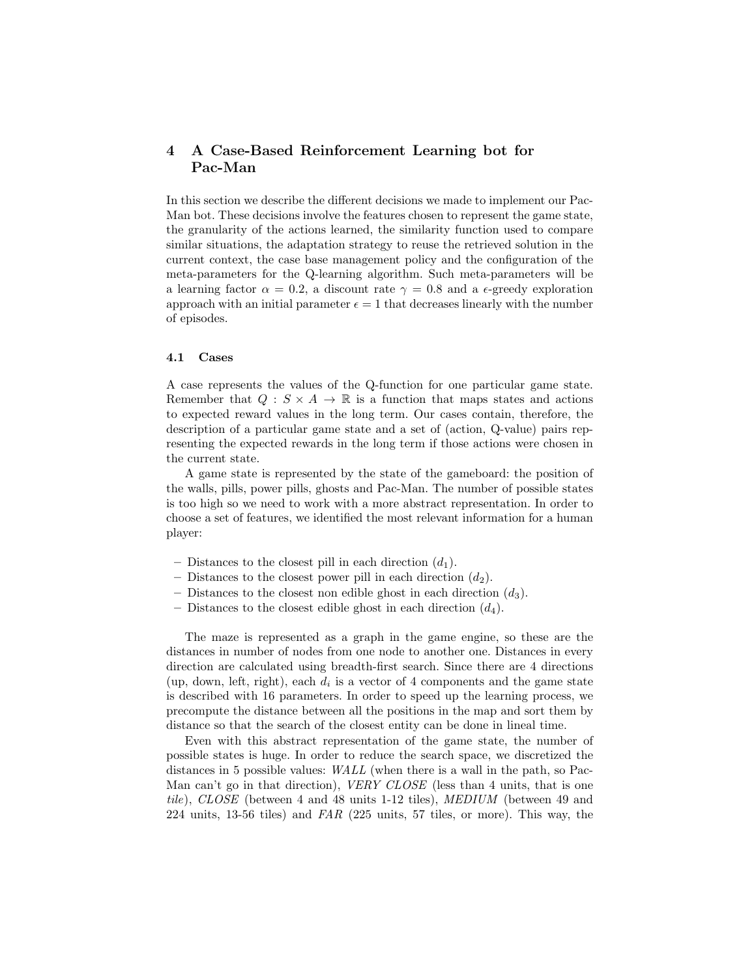# <span id="page-6-0"></span>4 A Case-Based Reinforcement Learning bot for Pac-Man

In this section we describe the different decisions we made to implement our Pac-Man bot. These decisions involve the features chosen to represent the game state, the granularity of the actions learned, the similarity function used to compare similar situations, the adaptation strategy to reuse the retrieved solution in the current context, the case base management policy and the configuration of the meta-parameters for the Q-learning algorithm. Such meta-parameters will be a learning factor  $\alpha = 0.2$ , a discount rate  $\gamma = 0.8$  and a  $\epsilon$ -greedy exploration approach with an initial parameter  $\epsilon = 1$  that decreases linearly with the number of episodes.

#### 4.1 Cases

A case represents the values of the Q-function for one particular game state. Remember that  $Q : S \times A \to \mathbb{R}$  is a function that maps states and actions to expected reward values in the long term. Our cases contain, therefore, the description of a particular game state and a set of (action, Q-value) pairs representing the expected rewards in the long term if those actions were chosen in the current state.

A game state is represented by the state of the gameboard: the position of the walls, pills, power pills, ghosts and Pac-Man. The number of possible states is too high so we need to work with a more abstract representation. In order to choose a set of features, we identified the most relevant information for a human player:

- Distances to the closest pill in each direction  $(d_1)$ .
- Distances to the closest power pill in each direction  $(d_2)$ .
- Distances to the closest non edible ghost in each direction  $(d_3)$ .
- Distances to the closest edible ghost in each direction  $(d_4)$ .

The maze is represented as a graph in the game engine, so these are the distances in number of nodes from one node to another one. Distances in every direction are calculated using breadth-first search. Since there are 4 directions (up, down, left, right), each  $d_i$  is a vector of 4 components and the game state is described with 16 parameters. In order to speed up the learning process, we precompute the distance between all the positions in the map and sort them by distance so that the search of the closest entity can be done in lineal time.

Even with this abstract representation of the game state, the number of possible states is huge. In order to reduce the search space, we discretized the distances in 5 possible values: WALL (when there is a wall in the path, so Pac-Man can't go in that direction), *VERY CLOSE* (less than 4 units, that is one tile), CLOSE (between 4 and 48 units 1-12 tiles), MEDIUM (between 49 and 224 units, 13-56 tiles) and  $FAR$  (225 units, 57 tiles, or more). This way, the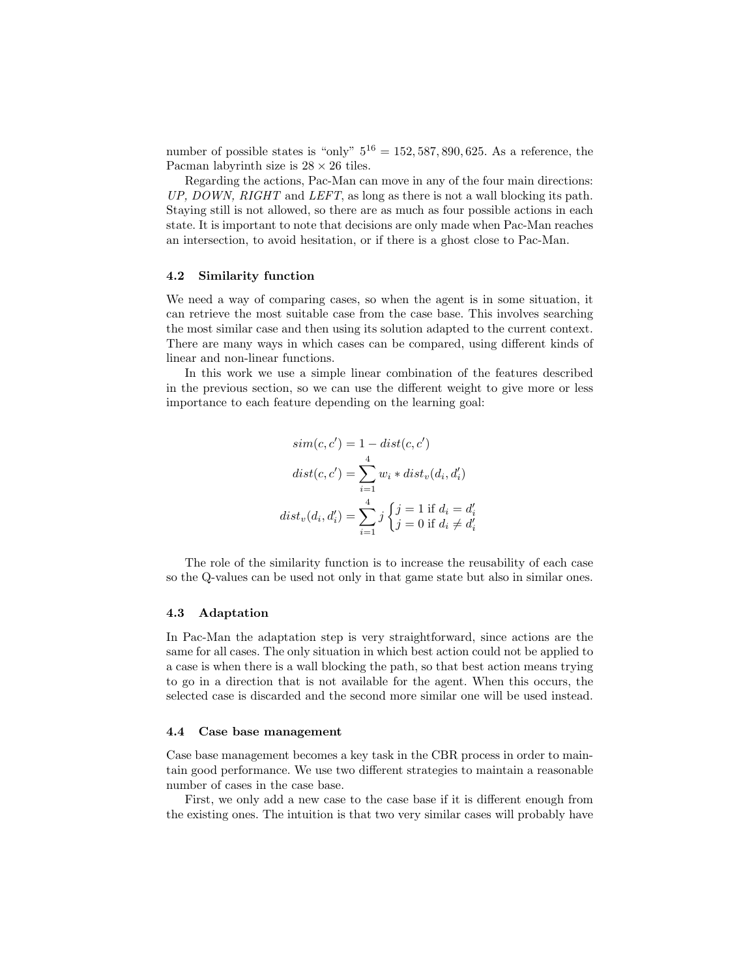number of possible states is "only"  $5^{16} = 152, 587, 890, 625$ . As a reference, the Pacman labyrinth size is  $28 \times 26$  tiles.

Regarding the actions, Pac-Man can move in any of the four main directions: UP, DOWN, RIGHT and LEFT, as long as there is not a wall blocking its path. Staying still is not allowed, so there are as much as four possible actions in each state. It is important to note that decisions are only made when Pac-Man reaches an intersection, to avoid hesitation, or if there is a ghost close to Pac-Man.

#### 4.2 Similarity function

We need a way of comparing cases, so when the agent is in some situation, it can retrieve the most suitable case from the case base. This involves searching the most similar case and then using its solution adapted to the current context. There are many ways in which cases can be compared, using different kinds of linear and non-linear functions.

In this work we use a simple linear combination of the features described in the previous section, so we can use the different weight to give more or less importance to each feature depending on the learning goal:

$$
sim(c, c') = 1 - dist(c, c')
$$

$$
dist(c, c') = \sum_{i=1}^{4} w_i * dist_v(d_i, d'_i)
$$

$$
dist_v(d_i, d'_i) = \sum_{i=1}^{4} j \begin{cases} j = 1 \text{ if } d_i = d'_i \\ j = 0 \text{ if } d_i \neq d'_i \end{cases}
$$

The role of the similarity function is to increase the reusability of each case so the Q-values can be used not only in that game state but also in similar ones.

#### 4.3 Adaptation

In Pac-Man the adaptation step is very straightforward, since actions are the same for all cases. The only situation in which best action could not be applied to a case is when there is a wall blocking the path, so that best action means trying to go in a direction that is not available for the agent. When this occurs, the selected case is discarded and the second more similar one will be used instead.

#### 4.4 Case base management

Case base management becomes a key task in the CBR process in order to maintain good performance. We use two different strategies to maintain a reasonable number of cases in the case base.

First, we only add a new case to the case base if it is different enough from the existing ones. The intuition is that two very similar cases will probably have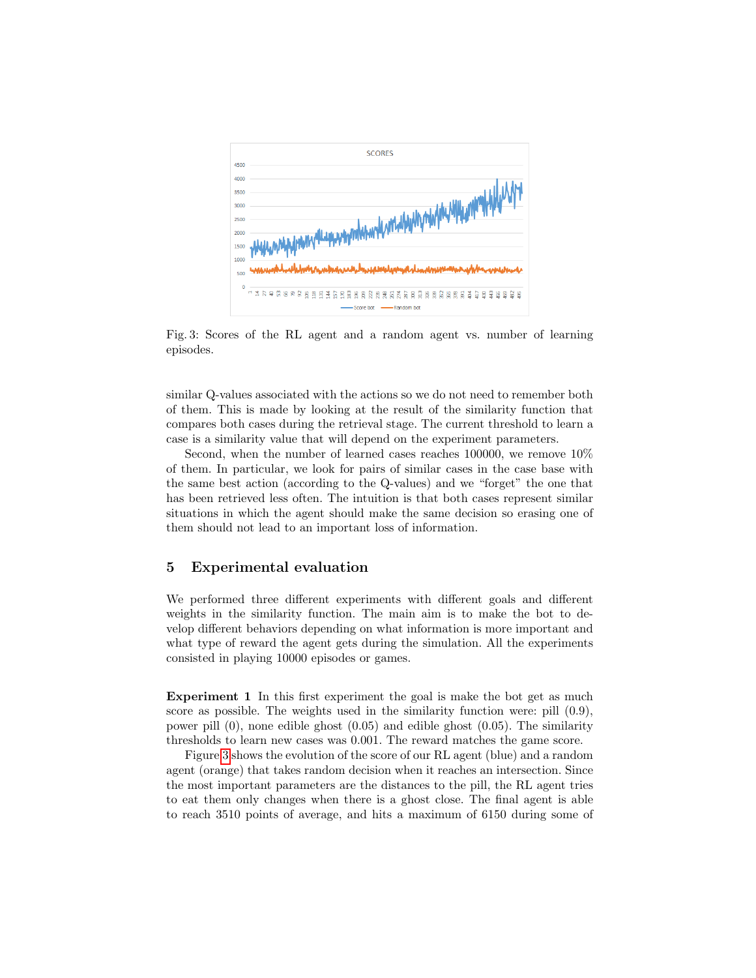<span id="page-8-1"></span>

Fig. 3: Scores of the RL agent and a random agent vs. number of learning episodes.

similar Q-values associated with the actions so we do not need to remember both of them. This is made by looking at the result of the similarity function that compares both cases during the retrieval stage. The current threshold to learn a case is a similarity value that will depend on the experiment parameters.

Second, when the number of learned cases reaches 100000, we remove 10% of them. In particular, we look for pairs of similar cases in the case base with the same best action (according to the Q-values) and we "forget" the one that has been retrieved less often. The intuition is that both cases represent similar situations in which the agent should make the same decision so erasing one of them should not lead to an important loss of information.

# <span id="page-8-0"></span>5 Experimental evaluation

We performed three different experiments with different goals and different weights in the similarity function. The main aim is to make the bot to develop different behaviors depending on what information is more important and what type of reward the agent gets during the simulation. All the experiments consisted in playing 10000 episodes or games.

Experiment 1 In this first experiment the goal is make the bot get as much score as possible. The weights used in the similarity function were: pill (0.9), power pill (0), none edible ghost (0.05) and edible ghost (0.05). The similarity thresholds to learn new cases was 0.001. The reward matches the game score.

Figure [3](#page-8-1) shows the evolution of the score of our RL agent (blue) and a random agent (orange) that takes random decision when it reaches an intersection. Since the most important parameters are the distances to the pill, the RL agent tries to eat them only changes when there is a ghost close. The final agent is able to reach 3510 points of average, and hits a maximum of 6150 during some of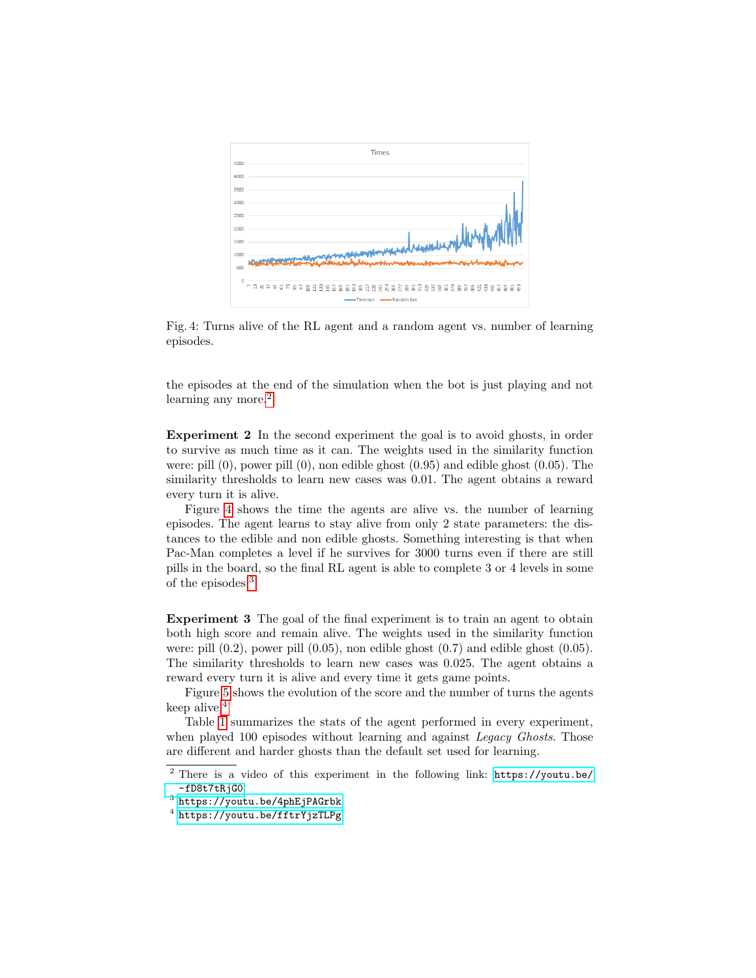<span id="page-9-1"></span>

Fig. 4: Turns alive of the RL agent and a random agent vs. number of learning episodes.

the episodes at the end of the simulation when the bot is just playing and not learning any more.<sup>[2](#page-9-0)</sup>

Experiment 2 In the second experiment the goal is to avoid ghosts, in order to survive as much time as it can. The weights used in the similarity function were: pill (0), power pill (0), non edible ghost (0.95) and edible ghost (0.05). The similarity thresholds to learn new cases was 0.01. The agent obtains a reward every turn it is alive.

Figure [4](#page-9-1) shows the time the agents are alive vs. the number of learning episodes. The agent learns to stay alive from only 2 state parameters: the distances to the edible and non edible ghosts. Something interesting is that when Pac-Man completes a level if he survives for 3000 turns even if there are still pills in the board, so the final RL agent is able to complete 3 or 4 levels in some of the episodes.[3](#page-9-2)

Experiment 3 The goal of the final experiment is to train an agent to obtain both high score and remain alive. The weights used in the similarity function were: pill  $(0.2)$ , power pill  $(0.05)$ , non edible ghost  $(0.7)$  and edible ghost  $(0.05)$ . The similarity thresholds to learn new cases was 0.025. The agent obtains a reward every turn it is alive and every time it gets game points.

Figure [5](#page-10-0) shows the evolution of the score and the number of turns the agents keep alive.[4](#page-9-3)

Table [1](#page-10-1) summarizes the stats of the agent performed in every experiment, when played 100 episodes without learning and against *Legacy Ghosts*. Those are different and harder ghosts than the default set used for learning.

<span id="page-9-0"></span><sup>2</sup> There is a video of this experiment in the following link: [https://youtu.be/](https://youtu.be/-fD8t7tRjG0) [-fD8t7tRjG0](https://youtu.be/-fD8t7tRjG0)

<span id="page-9-2"></span> $^3$  <https://youtu.be/4phEjPAGrbk>

<span id="page-9-3"></span> $^4$  <https://youtu.be/fftrYjzTLPg>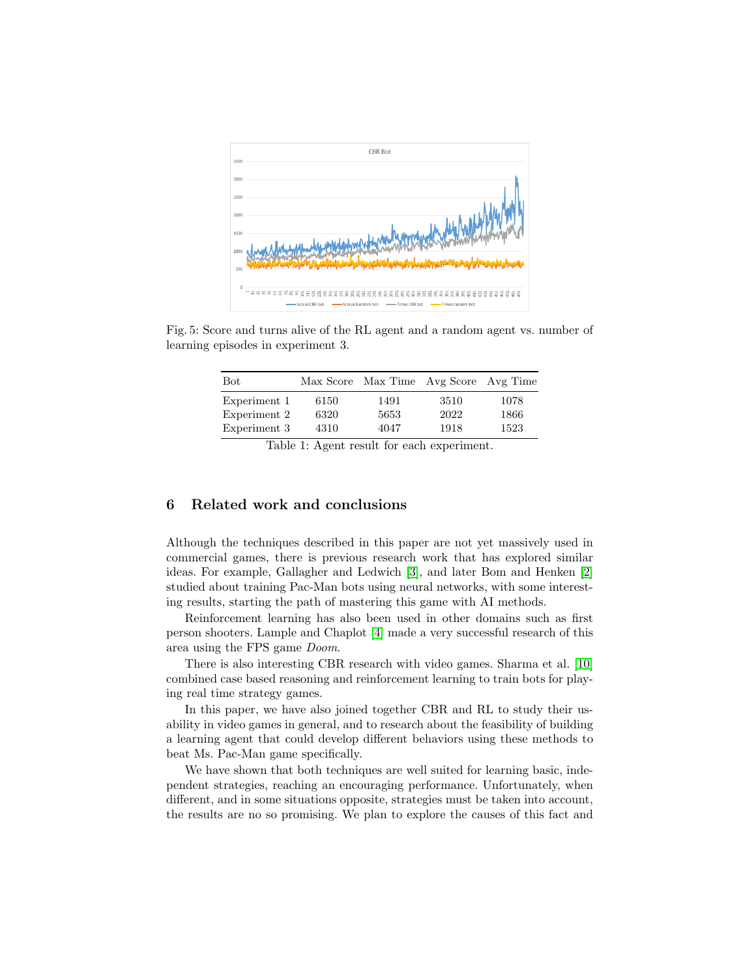<span id="page-10-0"></span>

<span id="page-10-1"></span>Fig. 5: Score and turns alive of the RL agent and a random agent vs. number of learning episodes in experiment 3.

| Bot          |      | Max Score Max Time Avg Score Avg Time |      |      |
|--------------|------|---------------------------------------|------|------|
| Experiment 1 | 6150 | 1491                                  | 3510 | 1078 |
| Experiment 2 | 6320 | 5653                                  | 2022 | 1866 |
| Experiment 3 | 4310 | 4047                                  | 1918 | 1523 |

Table 1: Agent result for each experiment.

# 6 Related work and conclusions

Although the techniques described in this paper are not yet massively used in commercial games, there is previous research work that has explored similar ideas. For example, Gallagher and Ledwich [\[3\]](#page-11-9), and later Bom and Henken [\[2\]](#page-11-10) studied about training Pac-Man bots using neural networks, with some interesting results, starting the path of mastering this game with AI methods.

Reinforcement learning has also been used in other domains such as first person shooters. Lample and Chaplot [\[4\]](#page-11-11) made a very successful research of this area using the FPS game Doom.

There is also interesting CBR research with video games. Sharma et al. [\[10\]](#page-11-12) combined case based reasoning and reinforcement learning to train bots for playing real time strategy games.

In this paper, we have also joined together CBR and RL to study their usability in video games in general, and to research about the feasibility of building a learning agent that could develop different behaviors using these methods to beat Ms. Pac-Man game specifically.

We have shown that both techniques are well suited for learning basic, independent strategies, reaching an encouraging performance. Unfortunately, when different, and in some situations opposite, strategies must be taken into account, the results are no so promising. We plan to explore the causes of this fact and